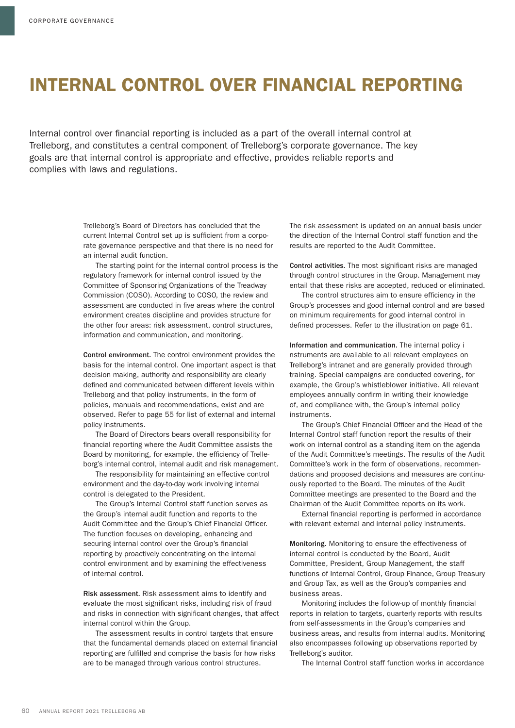## INTERNAL CONTROL OVER FINANCIAL REPORTING

Internal control over financial reporting is included as a part of the overall internal control at Trelleborg, and constitutes a central component of Trelleborg's corporate governance. The key goals are that internal control is appropriate and effective, provides reliable reports and complies with laws and regulations.

> Trelleborg's Board of Directors has concluded that the current Internal Control set up is sufficient from a corporate governance perspective and that there is no need for an internal audit function.

The starting point for the internal control process is the regulatory framework for internal control issued by the Committee of Sponsoring Organizations of the Treadway Commission (COSO). According to COSO, the review and assessment are conducted in five areas where the control environment creates discipline and provides structure for the other four areas: risk assessment, control structures, information and communication, and monitoring.

Control environment. The control environment provides the basis for the internal control. One important aspect is that decision making, authority and responsibility are clearly defined and communicated between different levels within Trelleborg and that policy instruments, in the form of policies, manuals and recommendations, exist and are observed. Refer to page 55 for list of external and internal policy instruments.

The Board of Directors bears overall responsibility for financial reporting where the Audit Committee assists the Board by monitoring, for example, the efficiency of Trelleborg's internal control, internal audit and risk management.

The responsibility for maintaining an effective control environment and the day-to-day work involving internal control is delegated to the President.

The Group's Internal Control staff function serves as the Group's internal audit function and reports to the Audit Committee and the Group's Chief Financial Officer. The function focuses on developing, enhancing and securing internal control over the Group's financial reporting by proactively concentrating on the internal control environment and by examining the effectiveness of internal control.

Risk assessment. Risk assessment aims to identify and evaluate the most significant risks, including risk of fraud and risks in connection with significant changes, that affect internal control within the Group.

The assessment results in control targets that ensure that the fundamental demands placed on external financial reporting are fulfilled and comprise the basis for how risks are to be managed through various control structures.

The risk assessment is updated on an annual basis under the direction of the Internal Control staff function and the results are reported to the Audit Committee.

Control activities. The most significant risks are managed through control structures in the Group. Management may entail that these risks are accepted, reduced or eliminated.

The control structures aim to ensure efficiency in the Group's processes and good internal control and are based on minimum requirements for good internal control in defined processes. Refer to the illustration on page 61.

Information and communication. The internal policy i nstruments are available to all relevant employees on Trelleborg's intranet and are generally provided through training. Special campaigns are conducted covering, for example, the Group's whistleblower initiative. All relevant employees annually confirm in writing their knowledge of, and compliance with, the Group's internal policy instruments.

The Group's Chief Financial Officer and the Head of the Internal Control staff function report the results of their work on internal control as a standing item on the agenda of the Audit Committee's meetings. The results of the Audit Committee's work in the form of observations, recommendations and proposed decisions and measures are continuously reported to the Board. The minutes of the Audit Committee meetings are presented to the Board and the Chairman of the Audit Committee reports on its work.

External financial reporting is performed in accordance with relevant external and internal policy instruments.

Monitoring. Monitoring to ensure the effectiveness of internal control is conducted by the Board, Audit Committee, President, Group Management, the staff functions of Internal Control, Group Finance, Group Treasury and Group Tax, as well as the Group's companies and business areas.

Monitoring includes the follow-up of monthly financial reports in relation to targets, quarterly reports with results from self-assessments in the Group's companies and business areas, and results from internal audits. Monitoring also encompasses following up observations reported by Trelleborg's auditor.

The Internal Control staff function works in accordance